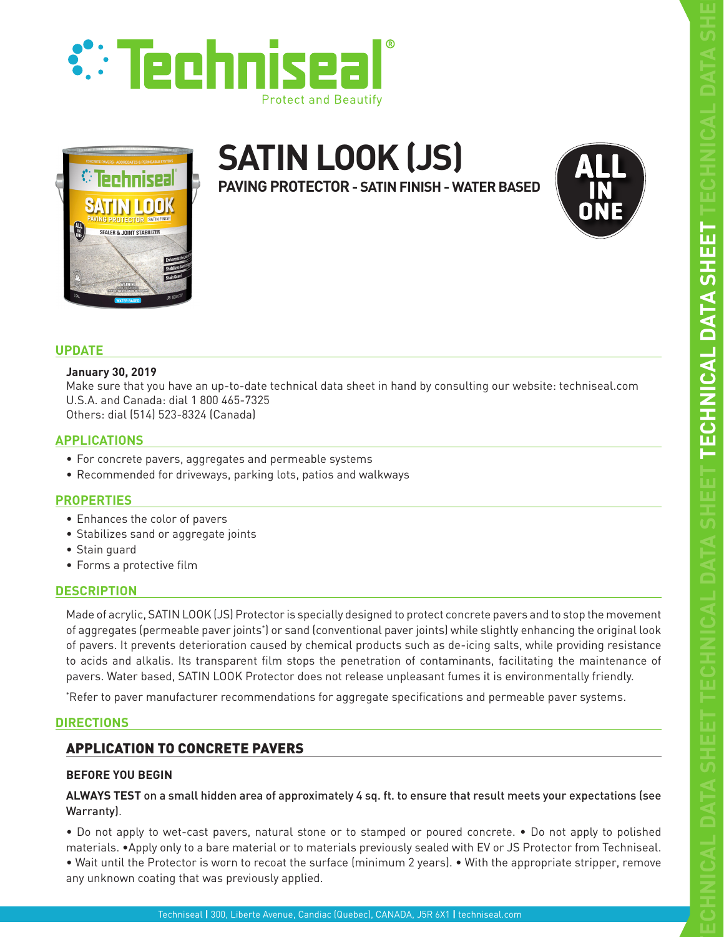



# **SATIN LOOK (JS)**

**PAVING PROTECTOR - SATIN FINISH - WATER BASED**



# **UPDATE**

## **January 30, 2019**

Make sure that you have an up-to-date technical data sheet in hand by consulting our website: techniseal.com U.S.A. and Canada: dial 1 800 465-7325 Others: dial (514) 523-8324 (Canada)

# **APPLICATIONS**

- For concrete pavers, aggregates and permeable systems
- Recommended for driveways, parking lots, patios and walkways

# **PROPERTIES**

- Enhances the color of pavers
- Stabilizes sand or aggregate joints
- Stain guard
- Forms a protective film

# **DESCRIPTION**

Made of acrylic, SATIN LOOK (JS) Protector is specially designed to protect concrete pavers and to stop the movement of aggregates (permeable paver joints\*) or sand (conventional paver joints) while slightly enhancing the original look of pavers. It prevents deterioration caused by chemical products such as de-icing salts, while providing resistance to acids and alkalis. Its transparent film stops the penetration of contaminants, facilitating the maintenance of pavers. Water based, SATIN LOOK Protector does not release unpleasant fumes it is environmentally friendly.

\* Refer to paver manufacturer recommendations for aggregate specifications and permeable paver systems.

# **DIRECTIONS**

# APPLICATION TO CONCRETE PAVERS

# **BEFORE YOU BEGIN**

**ALWAYS TEST** on a small hidden area of approximately 4 sq. ft. to ensure that result meets your expectations (see Warranty).

• Do not apply to wet-cast pavers, natural stone or to stamped or poured concrete. • Do not apply to polished materials. •Apply only to a bare material or to materials previously sealed with EV or JS Protector from Techniseal. • Wait until the Protector is worn to recoat the surface (minimum 2 years). • With the appropriate stripper, remove

any unknown coating that was previously applied.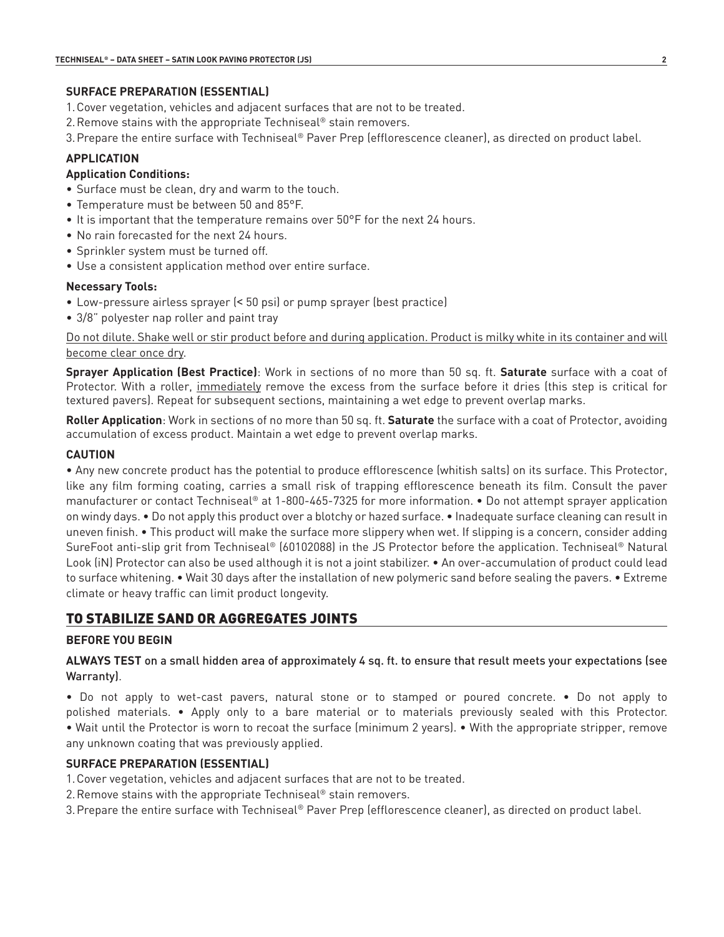# **SURFACE PREPARATION (ESSENTIAL)**

- 1.Cover vegetation, vehicles and adjacent surfaces that are not to be treated.
- 2.Remove stains with the appropriate Techniseal® stain removers.
- 3.Prepare the entire surface with Techniseal® Paver Prep (efflorescence cleaner), as directed on product label.

## **APPLICATION**

## **Application Conditions:**

- Surface must be clean, dry and warm to the touch.
- Temperature must be between 50 and 85°F.
- It is important that the temperature remains over 50°F for the next 24 hours.
- No rain forecasted for the next 24 hours.
- Sprinkler system must be turned off.
- Use a consistent application method over entire surface.

#### **Necessary Tools:**

- Low-pressure airless sprayer (< 50 psi) or pump sprayer (best practice)
- 3/8" polyester nap roller and paint tray

Do not dilute. Shake well or stir product before and during application. Product is milky white in its container and will become clear once dry.

**Sprayer Application (Best Practice)**: Work in sections of no more than 50 sq. ft. **Saturate** surface with a coat of Protector. With a roller, immediately remove the excess from the surface before it dries (this step is critical for textured pavers). Repeat for subsequent sections, maintaining a wet edge to prevent overlap marks.

**Roller Application**: Work in sections of no more than 50 sq. ft. **Saturate** the surface with a coat of Protector, avoiding accumulation of excess product. Maintain a wet edge to prevent overlap marks.

#### **CAUTION**

• Any new concrete product has the potential to produce efflorescence (whitish salts) on its surface. This Protector, like any film forming coating, carries a small risk of trapping efflorescence beneath its film. Consult the paver manufacturer or contact Techniseal® at 1-800-465-7325 for more information. • Do not attempt sprayer application on windy days. • Do not apply this product over a blotchy or hazed surface. • Inadequate surface cleaning can result in uneven finish. • This product will make the surface more slippery when wet. If slipping is a concern, consider adding SureFoot anti-slip grit from Techniseal® (60102088) in the JS Protector before the application. Techniseal® Natural Look (iN) Protector can also be used although it is not a joint stabilizer. • An over-accumulation of product could lead to surface whitening. • Wait 30 days after the installation of new polymeric sand before sealing the pavers. • Extreme climate or heavy traffic can limit product longevity.

# TO STABILIZE SAND OR AGGREGATES JOINTS

#### **BEFORE YOU BEGIN**

**ALWAYS TEST** on a small hidden area of approximately 4 sq. ft. to ensure that result meets your expectations (see Warranty).

• Do not apply to wet-cast pavers, natural stone or to stamped or poured concrete. • Do not apply to polished materials. • Apply only to a bare material or to materials previously sealed with this Protector. • Wait until the Protector is worn to recoat the surface (minimum 2 years). • With the appropriate stripper, remove any unknown coating that was previously applied.

#### **SURFACE PREPARATION (ESSENTIAL)**

1.Cover vegetation, vehicles and adjacent surfaces that are not to be treated.

2.Remove stains with the appropriate Techniseal® stain removers.

3.Prepare the entire surface with Techniseal® Paver Prep (efflorescence cleaner), as directed on product label.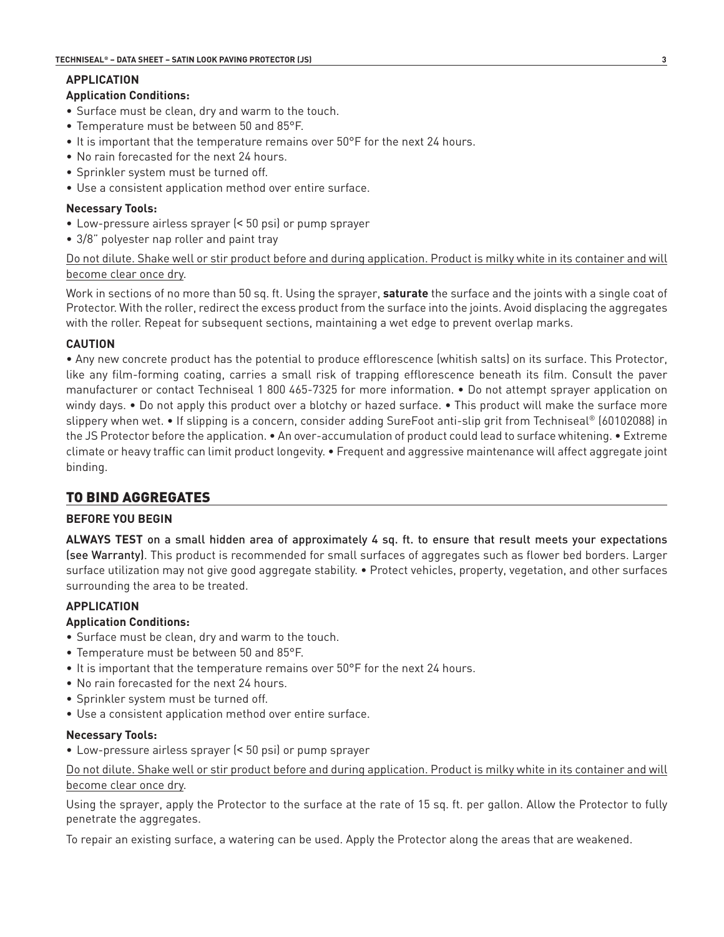# **APPLICATION**

#### **Application Conditions:**

- Surface must be clean, dry and warm to the touch.
- Temperature must be between 50 and 85°F.
- It is important that the temperature remains over 50°F for the next 24 hours.
- No rain forecasted for the next 24 hours.
- Sprinkler system must be turned off.
- Use a consistent application method over entire surface.

## **Necessary Tools:**

- Low-pressure airless sprayer (< 50 psi) or pump sprayer
- 3/8" polyester nap roller and paint tray

## Do not dilute. Shake well or stir product before and during application. Product is milky white in its container and will become clear once dry.

Work in sections of no more than 50 sq. ft. Using the sprayer, **saturate** the surface and the joints with a single coat of Protector. With the roller, redirect the excess product from the surface into the joints. Avoid displacing the aggregates with the roller. Repeat for subsequent sections, maintaining a wet edge to prevent overlap marks.

## **CAUTION**

• Any new concrete product has the potential to produce efflorescence (whitish salts) on its surface. This Protector, like any film-forming coating, carries a small risk of trapping efflorescence beneath its film. Consult the paver manufacturer or contact Techniseal 1 800 465-7325 for more information. • Do not attempt sprayer application on windy days. • Do not apply this product over a blotchy or hazed surface. • This product will make the surface more slippery when wet. • If slipping is a concern, consider adding SureFoot anti-slip grit from Techniseal® (60102088) in the JS Protector before the application. • An over-accumulation of product could lead to surface whitening. • Extreme climate or heavy traffic can limit product longevity. • Frequent and aggressive maintenance will affect aggregate joint binding.

# TO BIND AGGREGATES

#### **BEFORE YOU BEGIN**

**ALWAYS TEST** on a small hidden area of approximately 4 sq. ft. to ensure that result meets your expectations (see Warranty). This product is recommended for small surfaces of aggregates such as flower bed borders. Larger surface utilization may not give good aggregate stability. • Protect vehicles, property, vegetation, and other surfaces surrounding the area to be treated.

# **APPLICATION**

#### **Application Conditions:**

- Surface must be clean, dry and warm to the touch.
- Temperature must be between 50 and 85°F.
- It is important that the temperature remains over 50°F for the next 24 hours.
- No rain forecasted for the next 24 hours.
- Sprinkler system must be turned off.
- Use a consistent application method over entire surface.

#### **Necessary Tools:**

• Low-pressure airless sprayer (< 50 psi) or pump sprayer

Do not dilute. Shake well or stir product before and during application. Product is milky white in its container and will become clear once dry.

Using the sprayer, apply the Protector to the surface at the rate of 15 sq. ft. per gallon. Allow the Protector to fully penetrate the aggregates.

To repair an existing surface, a watering can be used. Apply the Protector along the areas that are weakened.